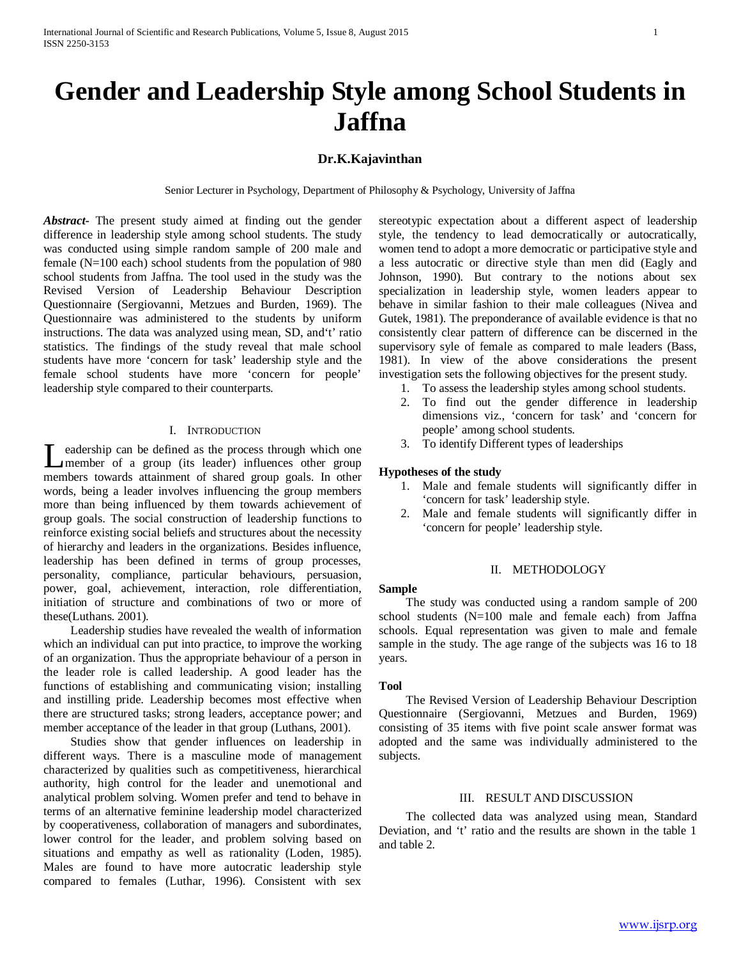# **Gender and Leadership Style among School Students in Jaffna**

# **Dr.K.Kajavinthan**

Senior Lecturer in Psychology, Department of Philosophy & Psychology, University of Jaffna

*Abstract***-** The present study aimed at finding out the gender difference in leadership style among school students. The study was conducted using simple random sample of 200 male and female (N=100 each) school students from the population of 980 school students from Jaffna. The tool used in the study was the Revised Version of Leadership Behaviour Description Questionnaire (Sergiovanni, Metzues and Burden, 1969). The Questionnaire was administered to the students by uniform instructions. The data was analyzed using mean, SD, and't' ratio statistics. The findings of the study reveal that male school students have more 'concern for task' leadership style and the female school students have more 'concern for people' leadership style compared to their counterparts.

## I. INTRODUCTION

eadership can be defined as the process through which one Leadership can be defined as the process through which one<br>
member of a group (its leader) influences other group members towards attainment of shared group goals. In other words, being a leader involves influencing the group members more than being influenced by them towards achievement of group goals. The social construction of leadership functions to reinforce existing social beliefs and structures about the necessity of hierarchy and leaders in the organizations. Besides influence, leadership has been defined in terms of group processes, personality, compliance, particular behaviours, persuasion, power, goal, achievement, interaction, role differentiation, initiation of structure and combinations of two or more of these(Luthans. 2001).

 Leadership studies have revealed the wealth of information which an individual can put into practice, to improve the working of an organization. Thus the appropriate behaviour of a person in the leader role is called leadership. A good leader has the functions of establishing and communicating vision; installing and instilling pride. Leadership becomes most effective when there are structured tasks; strong leaders, acceptance power; and member acceptance of the leader in that group (Luthans, 2001).

 Studies show that gender influences on leadership in different ways. There is a masculine mode of management characterized by qualities such as competitiveness, hierarchical authority, high control for the leader and unemotional and analytical problem solving. Women prefer and tend to behave in terms of an alternative feminine leadership model characterized by cooperativeness, collaboration of managers and subordinates, lower control for the leader, and problem solving based on situations and empathy as well as rationality (Loden, 1985). Males are found to have more autocratic leadership style compared to females (Luthar, 1996). Consistent with sex stereotypic expectation about a different aspect of leadership style, the tendency to lead democratically or autocratically, women tend to adopt a more democratic or participative style and a less autocratic or directive style than men did (Eagly and Johnson, 1990). But contrary to the notions about sex specialization in leadership style, women leaders appear to behave in similar fashion to their male colleagues (Nivea and Gutek, 1981). The preponderance of available evidence is that no consistently clear pattern of difference can be discerned in the supervisory syle of female as compared to male leaders (Bass, 1981). In view of the above considerations the present investigation sets the following objectives for the present study.

- 1. To assess the leadership styles among school students.
- 2. To find out the gender difference in leadership dimensions viz., 'concern for task' and 'concern for people' among school students.
- 3. To identify Different types of leaderships

# **Hypotheses of the study**

- 1. Male and female students will significantly differ in 'concern for task' leadership style.
- 2. Male and female students will significantly differ in 'concern for people' leadership style.

## II. METHODOLOGY

#### **Sample**

 The study was conducted using a random sample of 200 school students (N=100 male and female each) from Jaffna schools. Equal representation was given to male and female sample in the study. The age range of the subjects was 16 to 18 years.

#### **Tool**

 The Revised Version of Leadership Behaviour Description Questionnaire (Sergiovanni, Metzues and Burden, 1969) consisting of 35 items with five point scale answer format was adopted and the same was individually administered to the subjects.

## III. RESULT AND DISCUSSION

 The collected data was analyzed using mean, Standard Deviation, and 't' ratio and the results are shown in the table 1 and table 2.